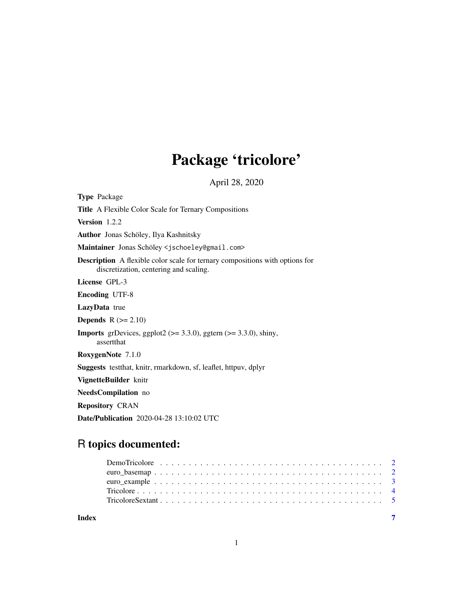## Package 'tricolore'

April 28, 2020

| <b>Type Package</b>                                                                                                           |
|-------------------------------------------------------------------------------------------------------------------------------|
| <b>Title</b> A Flexible Color Scale for Ternary Compositions                                                                  |
| Version 1.2.2                                                                                                                 |
| <b>Author</b> Jonas Schöley, Ilya Kashnitsky                                                                                  |
| Maintainer Jonas Schöley <jschoeley@gmail.com></jschoeley@gmail.com>                                                          |
| <b>Description</b> A flexible color scale for ternary compositions with options for<br>discretization, centering and scaling. |
| License GPL-3                                                                                                                 |
| <b>Encoding UTF-8</b>                                                                                                         |
| <b>LazyData</b> true                                                                                                          |
| <b>Depends</b> $R (= 2.10)$                                                                                                   |
| <b>Imports</b> grDevices, ggplot2 ( $> = 3.3.0$ ), ggtern ( $> = 3.3.0$ ), shiny,<br>assertthat                               |
| <b>RoxygenNote</b> 7.1.0                                                                                                      |
| <b>Suggests</b> test that, knitr, rmarkdown, sf, leaflet, httpuv, dplyr                                                       |
| VignetteBuilder knitr                                                                                                         |
| NeedsCompilation no                                                                                                           |
| <b>Repository CRAN</b>                                                                                                        |
| <b>Date/Publication</b> 2020-04-28 13:10:02 UTC                                                                               |

## R topics documented: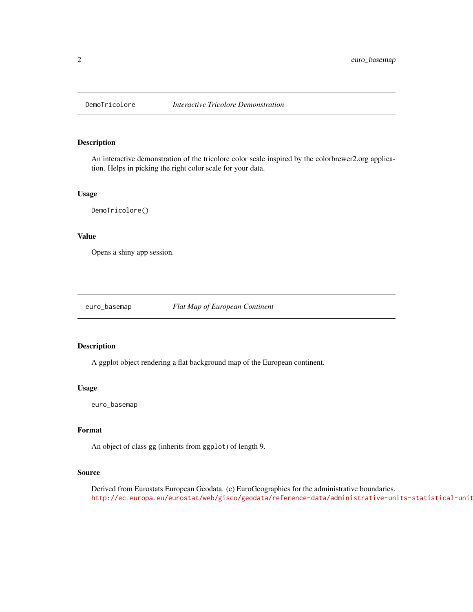<span id="page-1-0"></span>

### Description

An interactive demonstration of the tricolore color scale inspired by the colorbrewer2.org application. Helps in picking the right color scale for your data.

### Usage

DemoTricolore()

### Value

Opens a shiny app session.

euro\_basemap *Flat Map of European Continent*

### Description

A ggplot object rendering a flat background map of the European continent.

### Usage

euro\_basemap

### Format

An object of class gg (inherits from ggplot) of length 9.

### Source

Derived from Eurostats European Geodata. (c) EuroGeographics for the administrative boundaries. http://ec.europa.eu/eurostat/web/gisco/geodata/reference-data/administrative-units-statistical-unit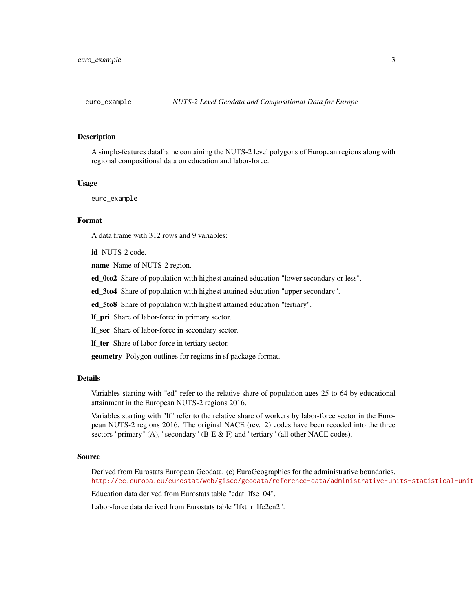<span id="page-2-0"></span>

### **Description**

A simple-features dataframe containing the NUTS-2 level polygons of European regions along with regional compositional data on education and labor-force.

### Usage

euro\_example

### Format

A data frame with 312 rows and 9 variables:

id NUTS-2 code.

name Name of NUTS-2 region.

ed\_0to2 Share of population with highest attained education "lower secondary or less".

ed\_3to4 Share of population with highest attained education "upper secondary".

ed\_5to8 Share of population with highest attained education "tertiary".

lf\_pri Share of labor-force in primary sector.

lf\_sec Share of labor-force in secondary sector.

lf\_ter Share of labor-force in tertiary sector.

geometry Polygon outlines for regions in sf package format.

### Details

Variables starting with "ed" refer to the relative share of population ages 25 to 64 by educational attainment in the European NUTS-2 regions 2016.

Variables starting with "lf" refer to the relative share of workers by labor-force sector in the European NUTS-2 regions 2016. The original NACE (rev. 2) codes have been recoded into the three sectors "primary" (A), "secondary" (B-E & F) and "tertiary" (all other NACE codes).

### Source

Derived from Eurostats European Geodata. (c) EuroGeographics for the administrative boundaries. http://ec.europa.eu/eurostat/web/gisco/geodata/reference-data/administrative-units-statistical-unit

Education data derived from Eurostats table "edat\_lfse\_04".

Labor-force data derived from Eurostats table "lfst\_r\_lfe2en2".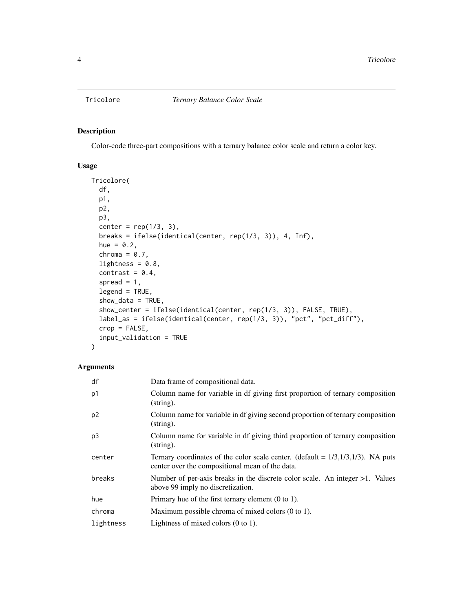### <span id="page-3-0"></span>Description

Color-code three-part compositions with a ternary balance color scale and return a color key.

### Usage

```
Tricolore(
  df,
 p1,
 p2,
 p3,
  center = rep(1/3, 3),
 breaks = ifelse(identical(center, rep(1/3, 3)), 4, Inf),
  hue = 0.2,
  chroma = 0.7,
  lightness = 0.8,
  contrast = 0.4,
  spread = 1,
  legend = TRUE,show\_data = TRUE,show_center = ifelse(identical(center, rep(1/3, 3)), FALSE, TRUE),
  label_as = ifelse(identical(center, rep(1/3, 3)), "pct", "pct_diff"),
  crop = FALSE,input_validation = TRUE
)
```
### Arguments

| df             | Data frame of compositional data.                                                                                                             |
|----------------|-----------------------------------------------------------------------------------------------------------------------------------------------|
| p1             | Column name for variable in df giving first proportion of ternary composition<br>$(\text{string})$ .                                          |
| p <sub>2</sub> | Column name for variable in df giving second proportion of ternary composition<br>$(\text{string})$ .                                         |
| p3             | Column name for variable in df giving third proportion of ternary composition<br>$(\text{string})$ .                                          |
| center         | Ternary coordinates of the color scale center. (default = $1/3$ , $1/3$ , $1/3$ ). NA puts<br>center over the compositional mean of the data. |
| breaks         | Number of per-axis breaks in the discrete color scale. An integer $>1$ . Values<br>above 99 imply no discretization.                          |
| hue            | Primary hue of the first ternary element $(0 \text{ to } 1)$ .                                                                                |
| chroma         | Maximum possible chroma of mixed colors (0 to 1).                                                                                             |
| lightness      | Lightness of mixed colors $(0 \text{ to } 1)$ .                                                                                               |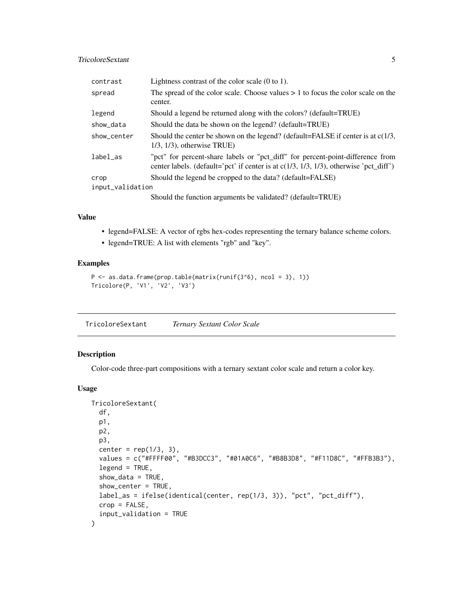### <span id="page-4-0"></span>TricoloreSextant 5

| contrast         | Lightness contrast of the color scale $(0 \text{ to } 1)$ .                                                                                                                |
|------------------|----------------------------------------------------------------------------------------------------------------------------------------------------------------------------|
| spread           | The spread of the color scale. Choose values $> 1$ to focus the color scale on the<br>center.                                                                              |
| legend           | Should a legend be returned along with the colors? (default=TRUE)                                                                                                          |
| show_data        | Should the data be shown on the legend? (default=TRUE)                                                                                                                     |
| show_center      | Should the center be shown on the legend? (default=FALSE if center is at $c(1/3)$ ,<br>$1/3$ , $1/3$ ), otherwise TRUE)                                                    |
| label_as         | "pct" for percent-share labels or "pct_diff" for percent-point-difference from<br>center labels. (default='pct' if center is at $c(1/3, 1/3, 1/3)$ , otherwise 'pct_diff') |
| crop             | Should the legend be cropped to the data? (default=FALSE)                                                                                                                  |
| input_validation |                                                                                                                                                                            |
|                  | Should the function arguments be validated? (default=TRUE)                                                                                                                 |

### Value

- legend=FALSE: A vector of rgbs hex-codes representing the ternary balance scheme colors.
- legend=TRUE: A list with elements "rgb" and "key".

### Examples

```
P \leq -a s.data. frame(prop.table(matrix(runif(3<sup>6</sup>), ncol = 3), 1))Tricolore(P, 'V1', 'V2', 'V3')
```
TricoloreSextant *Ternary Sextant Color Scale*

### Description

Color-code three-part compositions with a ternary sextant color scale and return a color key.

### Usage

```
TricoloreSextant(
  df,
  p1,
 p2,
  p3,
  center = rep(1/3, 3),
  values = c("#FFFF00", "#B3DCC3", "#01A0C6", "#B8B3D8", "#F11D8C", "#FFB3B3"),
  legend = TRUE,
  show_data = TRUE,
  show_center = TRUE,
  label_as = ifelse(identical(center, rep(1/3, 3)), "pct", "pct_diff"),
  crop = FALSE,input_validation = TRUE
\mathcal{E}
```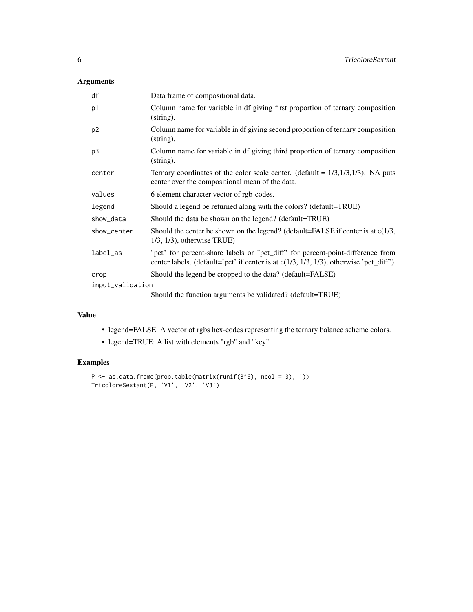### Arguments

| df               | Data frame of compositional data.                                                                                                                                          |
|------------------|----------------------------------------------------------------------------------------------------------------------------------------------------------------------------|
| p1               | Column name for variable in df giving first proportion of ternary composition<br>$(\text{string})$ .                                                                       |
| p <sub>2</sub>   | Column name for variable in df giving second proportion of ternary composition<br>$\frac{1}{2}$                                                                            |
| p <sub>3</sub>   | Column name for variable in df giving third proportion of ternary composition<br>$\frac{1}{2}$                                                                             |
| center           | Ternary coordinates of the color scale center. (default = $1/3$ , $1/3$ , $1/3$ ). NA puts<br>center over the compositional mean of the data.                              |
| values           | 6 element character vector of rgb-codes.                                                                                                                                   |
| legend           | Should a legend be returned along with the colors? (default=TRUE)                                                                                                          |
| show_data        | Should the data be shown on the legend? (default=TRUE)                                                                                                                     |
| show_center      | Should the center be shown on the legend? (default=FALSE if center is at c(1/3,<br>$1/3$ , $1/3$ ), otherwise TRUE)                                                        |
| label_as         | "pct" for percent-share labels or "pct_diff" for percent-point-difference from<br>center labels. (default='pct' if center is at $c(1/3, 1/3, 1/3)$ , otherwise 'pct_diff') |
| crop             | Should the legend be cropped to the data? (default=FALSE)                                                                                                                  |
| input_validation |                                                                                                                                                                            |
|                  | Should the function arguments be validated? (default=TRUE)                                                                                                                 |

### Value

- legend=FALSE: A vector of rgbs hex-codes representing the ternary balance scheme colors.
- legend=TRUE: A list with elements "rgb" and "key".

### Examples

```
P <- as.data.frame(prop.table(matrix(runif(3^6), ncol = 3), 1))
TricoloreSextant(P, 'V1', 'V2', 'V3')
```